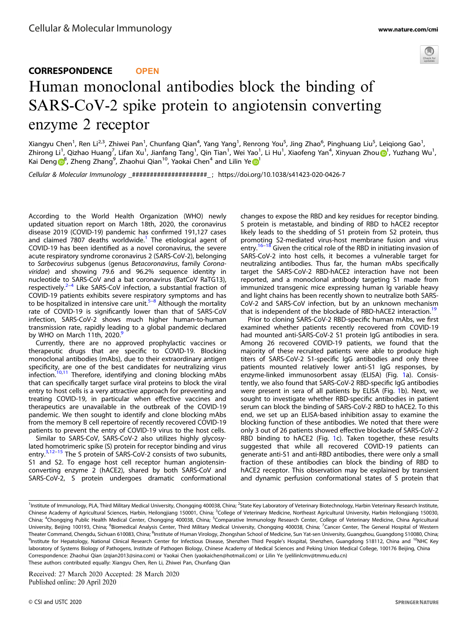

## CORRESPONDENCE **OPEN** Human monoclonal antibodies block the binding of SARS-CoV-2 spike protein to angiotensin converting enzyme 2 receptor

Xiangyu Chen<sup>1</sup>, Ren Li<sup>2,3</sup>, Zhiwei Pan<sup>1</sup>, Chunfang Qian<sup>4</sup>, Yang Yang<sup>1</sup>, Renrong You<sup>5</sup>, Jing Zhao<sup>6</sup>, Pinghuang Liu<sup>5</sup>, Leiqiong Gao<sup>1</sup>, Zhirong Li<sup>[1](http://orcid.org/0000-0002-1374-8240)</sup>, Qizhao Huang<sup>7</sup>, Lifan Xu<sup>1</sup>, Jianfang Tang<sup>1</sup>, Qin Tian<sup>1</sup>, Wei Yao<sup>1</sup>, Li Hu<sup>1</sup>, Xiaofeng Yan<sup>4</sup>, Xinyuan Zhou <mark>o</mark>1, Yuzhang Wu<sup>1</sup>, Kai D[e](http://orcid.org/0000-0003-0778-3311)ng $\boldsymbol{\Theta}^8$  $\boldsymbol{\Theta}^8$ , Zheng Zhang<sup>9</sup>, Zhaohui Qian<sup>[1](http://orcid.org/0000-0003-0778-3311)0</sup>, Yaokai Chen<sup>4</sup> and Lilin Ye $\boldsymbol{\Theta}^1$ 

Cellular & Molecular Immunology \_#####################\_ ; https://doi.org/10.1038/s41423-020-0426-7

According to the World Health Organization (WHO) newly updated situation report on March 18th, 2020, the coronavirus disease 2019 (COVID-19) pandemic has confirmed 191,127 cases and claimed 7807 deaths worldwide.<sup>[1](#page-2-0)</sup> The etiological agent of COVID-19 has been identified as a novel coronavirus, the severe acute respiratory syndrome coronavirus 2 (SARS-CoV-2), belonging to Sarbecovirus subgenus (genus Betacoronavirus, family Coronaviridae) and showing 79.6 and 96.2% sequence identity in nucleotide to SARS-CoV and a bat coronavirus (BatCoV RaTG13), respectively. $2-4$  $2-4$  $2-4$  Like SARS-CoV infection, a substantial fraction of COVID-19 patients exhibits severe respiratory symptoms and has to be hospitalized in intensive care unit.<sup>[5](#page-2-0)–[8](#page-2-0)</sup> Although the mortality rate of COVID-19 is significantly lower than that of SARS-CoV infection, SARS-CoV-2 shows much higher human-to-human transmission rate, rapidly leading to a global pandemic declared by WHO on March 11th, 2020.<sup>[9](#page-2-0)</sup>

Currently, there are no approved prophylactic vaccines or therapeutic drugs that are specific to COVID-19. Blocking monoclonal antibodies (mAbs), due to their extraordinary antigen specificity, are one of the best candidates for neutralizing virus  $infection.<sup>10,11</sup>$  $infection.<sup>10,11</sup>$  $infection.<sup>10,11</sup>$  $infection.<sup>10,11</sup>$  $infection.<sup>10,11</sup>$  Therefore, identifying and cloning blocking mAbs that can specifically target surface viral proteins to block the viral entry to host cells is a very attractive approach for preventing and treating COVID-19, in particular when effective vaccines and therapeutics are unavailable in the outbreak of the COVID-19 pandemic. We then sought to identify and clone blocking mAbs from the memory B cell repertoire of recently recovered COVID-19 patients to prevent the entry of COVID-19 virus to the host cells.

Similar to SARS-CoV, SARS-CoV-2 also utilizes highly glycosylated homotrimeric spike (S) protein for receptor binding and virus entry.<sup>[3](#page-2-0),[12](#page-2-0)–[15](#page-2-0)</sup> The S protein of SARS-CoV-2 consists of two subunits, S1 and S2. To engage host cell receptor human angiotensinconverting enzyme 2 (hACE2), shared by both SARS-CoV and SARS-CoV-2, S protein undergoes dramatic conformational changes to expose the RBD and key residues for receptor binding. S protein is metastable, and binding of RBD to hACE2 receptor likely leads to the shedding of S1 protein from S2 protein, thus promoting S2-mediated virus-host membrane fusion and virus<br>entry.<sup>[16](#page-2-0)–[18](#page-2-0)</sup> Given the critical role of the RBD in initiating invasion of SARS-CoV-2 into host cells, it becomes a vulnerable target for neutralizing antibodies. Thus far, the human mAbs specifically target the SARS-CoV-2 RBD-hACE2 interaction have not been reported, and a monoclonal antibody targeting S1 made from immunized transgenic mice expressing human Ig variable heavy and light chains has been recently shown to neutralize both SARS-CoV-2 and SARS-CoV infection, but by an unknown mechanism that is independent of the blockade of RBD-hACE2 interaction.<sup>1</sup>

Prior to cloning SARS-CoV-2 RBD-specific human mAbs, we first examined whether patients recently recovered from COVID-19 had mounted anti-SARS-CoV-2 S1 protein IgG antibodies in sera. Among 26 recovered COVID-19 patients, we found that the majority of these recruited patients were able to produce high titers of SARS-CoV-2 S1-specific IgG antibodies and only three patients mounted relatively lower anti-S1 IgG responses, by enzyme-linked immunosorbent assay (ELISA) (Fig. [1](#page-1-0)a). Consistently, we also found that SARS-CoV-2 RBD-specific IgG antibodies were present in sera of all patients by ELISA (Fig. [1](#page-1-0)b). Next, we sought to investigate whether RBD-specific antibodies in patient serum can block the binding of SARS-CoV-2 RBD to hACE2. To this end, we set up an ELISA-based inhibition assay to examine the blocking function of these antibodies. We noted that there were only 3 out of 26 patients showed effective blockade of SARS-CoV-2 RBD binding to hACE2 (Fig. [1c](#page-1-0)). Taken together, these results suggested that while all recovered COVID-19 patients can generate anti-S1 and anti-RBD antibodies, there were only a small fraction of these antibodies can block the binding of RBD to hACE2 receptor. This observation may be explained by transient and dynamic perfusion conformational states of S protein that

Received: 27 March 2020 Accepted: 28 March 2020

<sup>&</sup>lt;sup>1</sup>Institute of Immunology, PLA, Third Military Medical University, Chongqing 400038, China; <sup>2</sup>State Key Laboratory of Veterinary Biotechnology, Harbin Veterinary Research Institute, Chinese Academy of Agricultural Sciences, Harbin, Heilongjiang 150001, China; <sup>3</sup>College of Veterinary Medicine, Northeast Agricultural University, Harbin Heilongjiang 150030, China; <sup>4</sup>Chongqing Public Health Medical Center, Chongqing 400038, China; <sup>5</sup>Comparative Immunology Research Center, College of Veterinary Medicine, China Agricultural University, Beijing 100193, China; <sup>6</sup>Biomedical Analysis Center, Third Military Medical University, Chongqing 400038, China; <sup>7</sup>Cancer Center, The General Hospital of Western Theater Command, Chengdu, Sichuan 610083, China; <sup>8</sup>Institute of Human Virology, Zhongshan School of Medicine, Sun Yat-sen University, Guangzhou, Guangdong 510080, China; 9Institute for Hepatology, National Clinical Research Center for Infectious Disease, Shenzhen Third People's Hospital, Shenzhen, Guangdong 518112, China and <sup>10</sup>NHC Key laboratory of Systems Biology of Pathogens, Institute of Pathogen Biology, Chinese Academy of Medical Sciences and Peking Union Medical College, 100176 Beijing, China Correspondence: Zhaohui Qian ([zqian2013@sina.com\)](mailto:zqian2013@sina.com) or Yaokai Chen [\(yaokaichen@hotmail.com\)](mailto:yaokaichen@hotmail.com) or Lilin Ye [\(yelilinlcmv@tmmu.edu.cn\)](mailto:yelilinlcmv@tmmu.edu.cn) These authors contributed equally: Xiangyu Chen, Ren Li, Zhiwei Pan, Chunfang Qian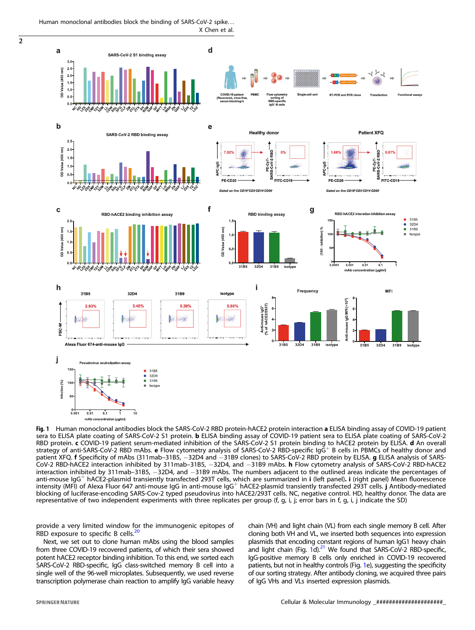Human monoclonal antibodies block the binding of SARS-CoV-2 spike. . . X Chen et al.

<span id="page-1-0"></span> $\overline{2}$ 



Fig. 1 Human monoclonal antibodies block the SARS-CoV-2 RBD protein-hACE2 protein interaction a ELISA binding assay of COVID-19 patient sera to ELISA plate coating of SARS-CoV-2 S1 protein. **b** ELISA binding assay of COVID-19 patient sera to ELISA plate coating of SARS-CoV-2 RBD protein. c COVID-19 patient serum-mediated inhibition of the SARS-CoV-2 S1 protein binding to hACE2 protein by ELISA. d An overall strategy of anti-SARS-CoV-2 RBD mAbs. e Flow cytometry analysis of SARS-CoV-2 RBD-specific IgG<sup>+</sup> B cells in PBMCs of healthy donor and patient XFQ. f Specificity of mAbs (311mab–31B5, -32D4 and -31B9 clones) to SARS-CoV-2 RBD protein by ELISA. g ELISA analysis of SARS-CoV-2 RBD-hACE2 interaction inhibited by 311mab–31B5, −32D4, and −31B9 mAbs. h Flow cytometry analysis of SARS-CoV-2 RBD-hACE2 interaction inhibited by 311mab–31B5, −32D4, and −31B9 mAbs. The numbers adjacent to the outlined areas indicate the percentages of anti-mouse IgG<sup>+</sup> hACE2-plasmid transiently transfected 293T cells, which are summarized in i (left panel). i (right panel) Mean fluorescence intensity (MFI) of Alexa Fluor 647 anti-mouse IgG in anti-mouse IgG<sup>+</sup> hACE2-plasmid transiently transfected 293T cells. j Antibody-mediated blocking of luciferase-encoding SARS-Cov-2 typed pseudovirus into hACE2/293T cells. NC, negative control. HD, healthy donor. The data are representative of two independent experiments with three replicates per group (f, g, i, j; error bars in f, g, i, j indicate the SD)

provide a very limited window for the immunogenic epitopes of RBD exposure to specific B cells.<sup>2</sup>

Next, we set out to clone human mAbs using the blood samples from three COVID-19 recovered patients, of which their sera showed potent hACE2 receptor binding inhibition. To this end, we sorted each SARS-CoV-2 RBD-specific, IgG class-switched memory B cell into a single well of the 96-well microplates. Subsequently, we used reverse transcription polymerase chain reaction to amplify IgG variable heavy chain (VH) and light chain (VL) from each single memory B cell. After cloning both VH and VL, we inserted both sequences into expression plasmids that encoding constant regions of human IgG1 heavy chain and light chain (Fig. 1d). $21$  We found that SARS-CoV-2 RBD-specific, IgG-positive memory B cells only enriched in COVID-19 recovered patients, but not in healthy controls (Fig. 1e), suggesting the specificity of our sorting strategy. After antibody cloning, we acquired three pairs of IgG VHs and VLs inserted expression plasmids.